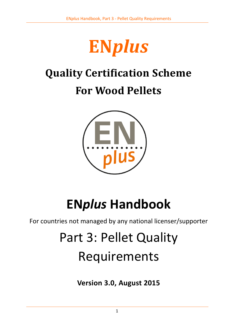

# **Quality Certification Scheme**

# **For Wood Pellets**



# **EN***plus* **Handbook**

For countries not managed by any national licenser/supporter

# Part 3: Pellet Quality Requirements

**Version 3.0, August 2015**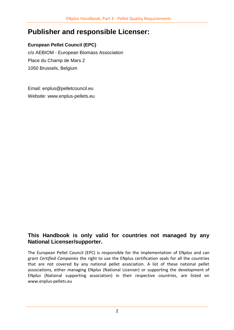# **Publisher and responsible Licenser:**

### **European Pellet Council (EPC)**

c/o AEBIOM - European Biomass Association Place du Champ de Mars 2 1050 Brussels, Belgium

Email: [enplus@pelletcouncil.eu](mailto:enplus@pelletcouncil.eu) Website: [www.enplus-pellets.eu](http://www.enplus-pellets.eu/)

# **This Handbook is only valid for countries not managed by any National Licenser/supporter.**

The European Pellet Council (EPC) is responsible for the implementation of EN*plus* and can grant *Certified Companies* the right to use the ENplus certification seals for all the countries that are not covered by any national pellet association. A list of these national pellet associations, either managing EN*plus* (National Licenser) or supporting the development of EN*plus* (National supporting association) in their respective countries, are listed on www.enplus-pellets.eu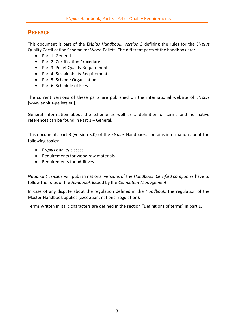# **PREFACE**

This document is part of the EN*plus Handbook, Version 3* defining the rules for the EN*plus* Quality Certification Scheme for Wood Pellets. The different parts of the handbook are:

- Part 1: General
- Part 2: Certification Procedure
- Part 3: Pellet Quality Requirements
- Part 4: Sustainability Requirements
- Part 5: Scheme Organisation
- Part 6: Schedule of Fees

The current versions of these parts are published on the international website of EN*plus* [www.enplus-pellets.eu].

General information about the scheme as well as a definition of terms and normative references can be found in Part 1 – General.

This document, part 3 (version 3.0) of the EN*plus* Handbook, contains information about the following topics:

- EN*plus* quality classes
- Requirements for wood raw materials
- Requirements for additives

*National Licensers* will publish national versions of the *Handbook*. *Certified companies* have to follow the rules of the *Handbook* issued by the *Competent Management*.

In case of any dispute about the regulation defined in the *Handbook*, the regulation of the Master-Handbook applies (exception: national regulation).

Terms written in italic characters are defined in the section "Definitions of terms" in part 1.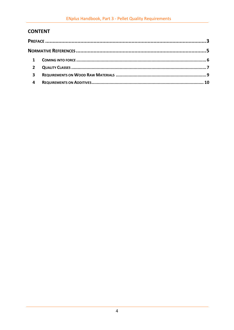## **CONTENT**

| $\mathbf{1}$ |  |
|--------------|--|
| $2^{\circ}$  |  |
| 3            |  |
| 4            |  |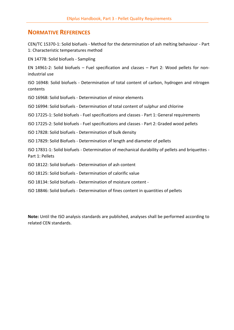## **NORMATIVE REFERENCES**

CEN/TC 15370-1: Solid biofuels - Method for the determination of ash melting behaviour - Part 1: Characteristic temperatures method

EN 14778: Solid biofuels - Sampling

EN 14961-2: Solid biofuels – Fuel specification and classes – Part 2: Wood pellets for nonindustrial use

ISO 16948: Solid biofuels - Determination of total content of carbon, hydrogen and nitrogen contents

ISO 16968: Solid biofuels - Determination of minor elements

ISO 16994: Solid biofuels - Determination of total content of sulphur and chlorine

ISO 17225-1: Solid biofuels - Fuel specifications and classes - Part 1: General requirements

ISO 17225-2: Solid biofuels - Fuel specifications and classes - Part 2: Graded wood pellets

ISO 17828: Solid biofuels - Determination of bulk density

ISO 17829: Solid Biofuels - Determination of length and diameter of pellets

ISO 17831-1: Solid biofuels - Determination of mechanical durability of pellets and briquettes - Part 1: Pellets

ISO 18122: Solid biofuels - Determination of ash content

ISO 18125: Solid biofuels - Determination of calorific value

ISO 18134: Solid biofuels - Determination of moisture content -

ISO 18846: Solid biofuels - Determination of fines content in quantities of pellets

**Note:** Until the ISO analysis standards are published, analyses shall be performed according to related CEN standards.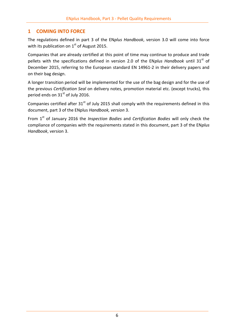### **1 COMING INTO FORCE**

The regulations defined in part 3 of the EN*plus Handbook*, version 3.0 will come into force with its publication on  $1<sup>st</sup>$  of August 2015.

Companies that are already certified at this point of time may continue to produce and trade pellets with the specifications defined in version 2.0 of the EN*plus Handbook* until 31<sup>st</sup> of December 2015, referring to the European standard EN 14961-2 in their delivery papers and on their bag design.

A longer transition period will be implemented for the use of the bag design and for the use of the previous *Certification Seal* on delivery notes, promotion material etc. (except trucks), this period ends on  $31<sup>st</sup>$  of July 2016.

Companies certified after  $31<sup>st</sup>$  of July 2015 shall comply with the requirements defined in this document, part 3 of the ENplus *Handbook, version* 3.

From 1st of January 2016 the *Inspection Bodies* and *Certification Bodies* will only check the compliance of companies with the requirements stated in this document, part 3 of the EN*plus Handbook*, version 3.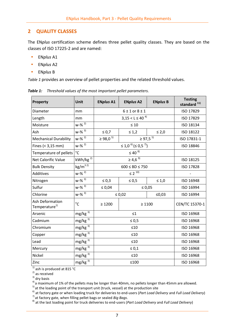#### **2 QUALITY CLASSES**

The EN*plus* certification scheme defines three pellet quality classes. They are based on the classes of ISO 17225-2 and are named:

- EN*plus* A1
- EN*plus* A2
- EN*plus* B

*[Table 1](#page-6-0)* provides an overview of pellet properties and the related threshold values.

| Property                                     | Unit                   | <b>ENplus A1</b>                          | <b>ENplus A2</b>         | <b>ENplus B</b> | <b>Testing</b><br>standard <sup>11)</sup> |
|----------------------------------------------|------------------------|-------------------------------------------|--------------------------|-----------------|-------------------------------------------|
| Diameter                                     | mm                     | $6 \pm 1$ or $8 \pm 1$                    |                          |                 | ISO 17829                                 |
| Length                                       | mm                     |                                           | $3,15 < L \leq 40^{4}$   |                 | ISO 17829                                 |
| Moisture                                     | $W-%^{2)}$             | $\leq 10$                                 |                          | ISO 18134       |                                           |
| Ash                                          | $w - %3)$              | $\leq 0.7$                                | $\leq 1.2$               | $\leq 2,0$      | ISO 18122                                 |
| <b>Mechanical Durability</b>                 | $w - % 2)$             | $\geq 98,0^{5}$                           | $\geq 97.5^{51}$         |                 | ISO 17831-1                               |
| Fines $(3,15 \text{ mm})$                    | $w - %30 = 80$         | $\leq$ 1,0 $^{6)}$ ( $\leq$ 0,5 $^{7)}$ ) |                          |                 | ISO 18846                                 |
| Temperature of pellets                       | $^{\circ}$ C           | $\leq 40^{8}$                             |                          |                 |                                           |
| Net Calorific Value                          | $kWh/kg$ <sup>2)</sup> | $\geq 4,6^{9}$                            |                          | ISO 18125       |                                           |
| <b>Bulk Density</b>                          | $kg/m^{32}$            | $600 \le BD \le 750$                      |                          | ISO 17828       |                                           |
| Additives                                    | $w - %30 = 80$         | $\leq 2$ <sup>10)</sup>                   |                          |                 |                                           |
| Nitrogen                                     | $w - %3)$              | $\leq 0.3$                                | $\leq 0.5$<br>$\leq 1,0$ |                 | ISO 16948                                 |
| Sulfur                                       | $w - %3)$              | $\leq 0.04$                               | $\leq 0.05$              |                 | ISO 16994                                 |
| Chlorine                                     | $w - %3)$              |                                           | $\leq 0.02$<br>≤0,03     |                 | ISO 16994                                 |
| Ash Deformation<br>Temperature <sup>1)</sup> | $^{\circ}$ C           | $\geq 1200$                               | $\geq 1100$              |                 | CEN/TC 15370-1                            |
| Arsenic                                      | $mg/kg^{3}$            | $\leq 1$                                  |                          | ISO 16968       |                                           |
| Cadmium                                      | $mg/kg$ <sup>3)</sup>  | $\leq 0.5$                                |                          |                 | ISO 16968                                 |
| $mg/kg$ <sup>3)</sup><br>Chromium            |                        | ≤10                                       |                          |                 | ISO 16968                                 |
| Copper                                       | $mg/kg$ <sup>3)</sup>  | ≤10                                       |                          | ISO 16968       |                                           |
| Lead                                         | $mg/kg$ <sup>3)</sup>  | ≤10                                       |                          | ISO 16968       |                                           |
| Mercury                                      | $mg/kg$ <sup>3)</sup>  | $\leq 0,1$                                |                          | ISO 16968       |                                           |
| Nickel                                       | $mg/kg$ <sup>3)</sup>  | ≤10                                       |                          | ISO 16968       |                                           |
| Zinc                                         | $mg/kg$ <sup>3)</sup>  | $≤100$                                    |                          | ISO 16968       |                                           |

<span id="page-6-0"></span>*Table 1: Threshold values of the most important pellet parameters.*

 $1)$  ash is produced at 815 °C

 $^{2)}$  as received

 $3)$  dry basis

 $4)$  a maximum of 1% of the pellets may be longer than 40mm, no pellets longer than 45mm are allowed.

 $5$ ) at the loading point of the transport unit (truck, vessel) at the production site

6) at factory gate or when loading truck for deliveries to end-users (*Part Load Delivery* and *Full Load Delivery*) 7) at factory gate, when filling pellet bags or sealed *Big Bags*.

8) at the last loading point for truck deliveries to end-users (*Part Load Delivery* and *Full Load Delivery*)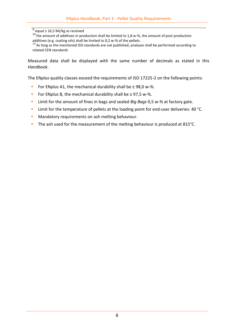$\frac{9}{9}$  equal ≥ 16,5 MJ/kg as received

10) the amount of additives in production shall be limited to 1,8 w-%, the amount of post-production additives (e.g. coating oils) shall be limited to 0,2 w-% of the pellets.

<sup>11)</sup> As long as the mentioned ISO standards are not published, analyses shall be performed according to related CEN standards

Measured data shall be displayed with the same number of decimals as stated in this *Handbook*.

The EN*plus* quality classes exceed the requirements of ISO 17225-2 on the following points:

- For EN*plus* A1, the mechanical durability shall be ≥ 98,0 w-%.
- For EN*plus* B, the mechanical durability shall be ≥ 97,5 w-%.
- Limit for the amount of fines in bags and sealed *Big Bags* 0,5 w-% at factory gate.
- Limit for the temperature of pellets at the loading point for end-user deliveries: 40 °C.
- Mandatory requirements on ash melting behaviour.
- The ash used for the measurement of the melting behaviour is produced at 815°C.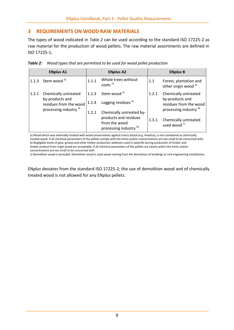#### **3 REQUIREMENTS ON WOOD RAW MATERIALS**

The types of wood indicated in *[Table 2](#page-8-0)* can be used according to the standard ISO 17225-2 as raw material for the production of wood pellets. The raw material assortments are defined in ISO 17225-1.

<span id="page-8-0"></span>

|  |  | Table 2: Wood types that are permitted to be used for wood pellet production |  |  |
|--|--|------------------------------------------------------------------------------|--|--|
|--|--|------------------------------------------------------------------------------|--|--|

| <b>ENplus A1</b> |                                                                                                        | <b>ENplus A2</b>                                                 |                                                                                       | <b>ENplus B</b>                                 |                                                                                                        |
|------------------|--------------------------------------------------------------------------------------------------------|------------------------------------------------------------------|---------------------------------------------------------------------------------------|-------------------------------------------------|--------------------------------------------------------------------------------------------------------|
|                  | 1.1.3 Stem wood $a^{(3)}$                                                                              | 1.1.1                                                            | Whole trees without<br>roots <sup>a)</sup>                                            | 1.1                                             | Forest, plantation and<br>other virgin wood <sup>a)</sup>                                              |
| 1.2.1            | Chemically untreated<br>by-products and<br>residues from the wood<br>processing industry <sup>b)</sup> | 1.1.3<br>1.1.4<br>1.2.1                                          | Stem wood <sup>a)</sup><br>Logging residues <sup>a)</sup><br>Chemically untreated by- | 1.2.1                                           | Chemically untreated<br>by-products and<br>residues from the wood<br>processing industry <sup>b)</sup> |
|                  |                                                                                                        | products and residues<br>from the wood<br>processing industry b) | 1.3.1                                                                                 | Chemically untreated<br>used wood <sup>c)</sup> |                                                                                                        |

a) Wood which was externally treated with wood preservatives against insect attack (e.g. lineatus), is not considered as chemically treated wood. If all chemical parameters of the pellets comply with the limits and/or concentrations are too small to be concerned with. b) Negligible levels of glue, grease and other timber production additives used in sawmills during production of timber and timber product from virgin wood are acceptable, if all chemical parameters of the pellets are clearly within the limits and/or concentrations are too small to be concerned with.

c) Demolition wood is excluded. Demolition wood is used wood coming from the demolition of buildings or civil engineering installations.

EN*plus* deviates from the standard ISO 17225-2; the use of demolition wood and of chemically treated wood is not allowed for any EN*plus* pellets.